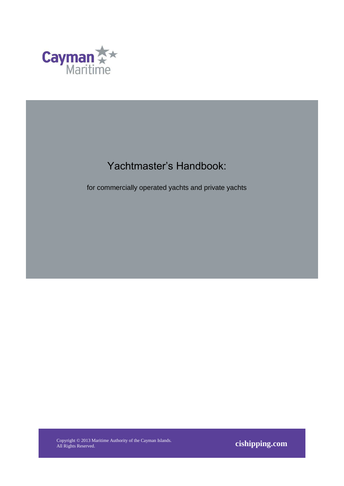

## Yachtmaster's Handbook:

for commercially operated yachts and private yachts

Copyright © 2013 Maritime Authority of the Cayman Islands. All Rights Reserved. **cishipping.com**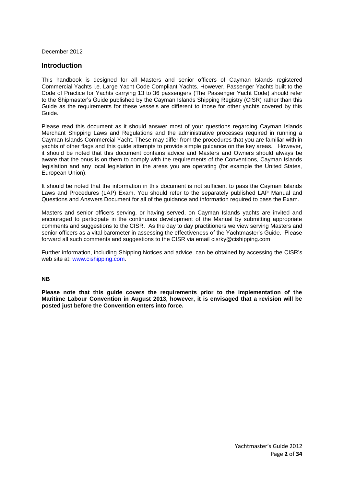December 2012

#### **Introduction**

This handbook is designed for all Masters and senior officers of Cayman Islands registered Commercial Yachts i.e. Large Yacht Code Compliant Yachts. However, Passenger Yachts built to the Code of Practice for Yachts carrying 13 to 36 passengers (The Passenger Yacht Code) should refer to the Shipmaster's Guide published by the Cayman Islands Shipping Registry (CISR) rather than this Guide as the requirements for these vessels are different to those for other yachts covered by this Guide.

Please read this document as it should answer most of your questions regarding Cayman Islands Merchant Shipping Laws and Regulations and the administrative processes required in running a Cayman Islands Commercial Yacht. These may differ from the procedures that you are familiar with in yachts of other flags and this guide attempts to provide simple guidance on the key areas. However, it should be noted that this document contains advice and Masters and Owners should always be aware that the onus is on them to comply with the requirements of the Conventions, Cayman Islands legislation and any local legislation in the areas you are operating (for example the United States, European Union).

It should be noted that the information in this document is not sufficient to pass the Cayman Islands Laws and Procedures (LAP) Exam. You should refer to the separately published LAP Manual and Questions and Answers Document for all of the guidance and information required to pass the Exam.

Masters and senior officers serving, or having served, on Cayman Islands yachts are invited and encouraged to participate in the continuous development of the Manual by submitting appropriate comments and suggestions to the CISR. As the day to day practitioners we view serving Masters and senior officers as a vital barometer in assessing the effectiveness of the Yachtmaster's Guide. Please forward all such comments and suggestions to the CISR via email cisrky@cishipping.com

Further information, including Shipping Notices and advice, can be obtained by accessing the CISR's web site at: [www.cishipping.com.](http://www.cishipping.com/)

#### **NB**

**Please note that this guide covers the requirements prior to the implementation of the Maritime Labour Convention in August 2013, however, it is envisaged that a revision will be posted just before the Convention enters into force.**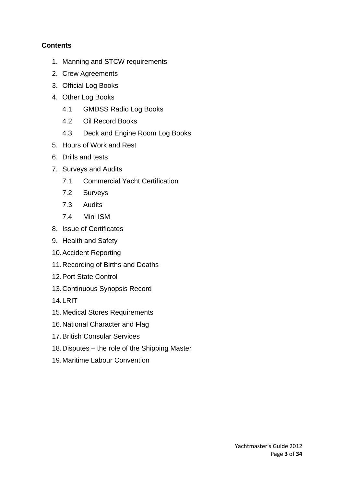## **Contents**

- 1. Manning and STCW requirements
- 2. Crew Agreements
- 3. Official Log Books
- 4. Other Log Books
	- 4.1 GMDSS Radio Log Books
	- 4.2 Oil Record Books
	- 4.3 Deck and Engine Room Log Books
- 5. Hours of Work and Rest
- 6. Drills and tests
- 7. Surveys and Audits
	- 7.1 Commercial Yacht Certification
	- 7.2 Surveys
	- 7.3 Audits
	- 7.4 Mini ISM
- 8. Issue of Certificates
- 9. Health and Safety
- 10.Accident Reporting
- 11.Recording of Births and Deaths
- 12.Port State Control
- 13.Continuous Synopsis Record
- 14.LRIT
- 15.Medical Stores Requirements
- 16.National Character and Flag
- 17.British Consular Services
- 18.Disputes the role of the Shipping Master
- 19.Maritime Labour Convention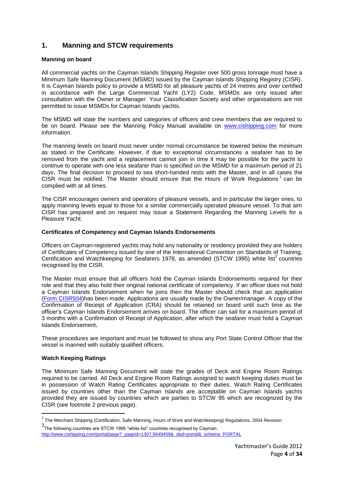## **1. Manning and STCW requirements**

#### **Manning on board**

All commercial yachts on the Cayman Islands Shipping Register over 500 gross tonnage must have a Minimum Safe Manning Document (MSMD) issued by the Cayman Islands Shipping Registry (CISR). It is Cayman Islands policy to provide a MSMD for all pleasure yachts of 24 metres and over certified in accordance with the Large Commercial Yacht (LY2) Code, MSMDs are only issued after consultation with the Owner or Manager. Your Classification Society and other organisations are not permitted to issue MSMDs for Cayman Islands yachts.

The MSMD will state the numbers and categories of officers and crew members that are required to be on board. Please see the Manning Policy Manual available on [www.cishipping.com](http://www.cishipping.com/) for more information.

The manning levels on board must never under normal circumstance be lowered below the minimum as stated in the Certificate. However, if due to exceptional circumstances a seafarer has to be removed from the yacht and a replacement cannot join in time it may be possible for the yacht to continue to operate with one less seafarer than is specified on the MSMD for a maximum period of 21 days. The final decision to proceed to sea short-handed rests with the Master, and in all cases the CISR must be notified. The Master should ensure that the Hours of Work Regulations<sup>1</sup> can be complied with at all times.

The CISR encourages owners and operators of pleasure vessels, and in particular the larger ones, to apply manning levels equal to those for a similar commercially operated pleasure vessel. To that aim CISR has prepared and on request may issue a Statement Regarding the Manning Levels for a Pleasure Yacht.

#### **Certificates of Competency and Cayman Islands Endorsements**

Officers on Cayman-registered yachts may hold any nationality or residency provided they are holders of Certificates of Competency issued by one of the International Convention on Standards of Training, Certification and Watchkeeping for Seafarers 1978, as amended (STCW 1995) white list<sup>2</sup> countries recognised by the CISR.

The Master must ensure that all officers hold the Cayman Islands Endorsements required for their role and that they also hold their original national certificate of competency. If an officer does not hold a Cayman Islands Endorsement when he joins then the Master should check that an application [\(Form CISR504\)](http://www.cishipping.com/pls/portal/docs/PAGE/SRGHOME/HELP/FORMS/MACI504/CISR504.PDF)has been made. Applications are usually made by the Owner/manager. A copy of the Confirmation of Receipt of Application (CRA) should be retained on board until such time as the officer's Cayman Islands Endorsement arrives on board. The officer can sail for a maximum period of 3 months with a Confirmation of Receipt of Application, after which the seafarer must hold a Cayman Islands Endorsement**.**

These procedures are important and must be followed to show any Port State Control Officer that the vessel is manned with suitably qualified officers.

#### **Watch Keeping Ratings**

**.** 

The Minimum Safe Manning Document will state the grades of Deck and Engine Room Ratings required to be carried. All Deck and Engine Room Ratings assigned to watch keeping duties must be in possession of Watch Rating Certificates appropriate to their duties. Watch Rating Certificates issued by countries other than the Cayman Islands are acceptable on Cayman Islands yachts provided they are issued by countries which are parties to STCW 95 which are recognized by the CISR (see footnote 2 previous page).

 $1$  The Merchant Shipping (Certification, Safe Manning, Hours of Work and Watchkeeping) Regulations, 2004 Revision

<sup>2</sup> The following countries are STCW 1995 "white list" countries recognised by Cayman. [http://www.cishipping.com/portal/page?\\_pageid=1307,5649459&\\_dad=portal&\\_schema\\_PORTAL](http://www.cishipping.com/portal/page?_pageid=1307,5649459&_dad=portal&_schema_PORTAL)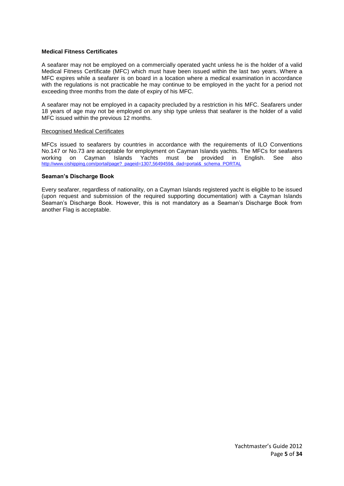#### **Medical Fitness Certificates**

A seafarer may not be employed on a commercially operated yacht unless he is the holder of a valid Medical Fitness Certificate (MFC) which must have been issued within the last two years. Where a MFC expires while a seafarer is on board in a location where a medical examination in accordance with the regulations is not practicable he may continue to be employed in the yacht for a period not exceeding three months from the date of expiry of his MFC.

A seafarer may not be employed in a capacity precluded by a restriction in his MFC. Seafarers under 18 years of age may not be employed on any ship type unless that seafarer is the holder of a valid MFC issued within the previous 12 months.

#### Recognised Medical Certificates

MFCs issued to seafarers by countries in accordance with the requirements of ILO Conventions No.147 or No.73 are acceptable for employment on Cayman Islands yachts. The MFCs for seafarers<br>working on Cayman Islands Yachts must be provided in English. See also working on Cayman Islands Yachts must be provided in English. See also [http://www.cishipping.com/portal/page?\\_pageid=1307,5649459&\\_dad=portal&\\_schema\\_PORTAL](http://www.cishipping.com/portal/page?_pageid=1307,5649459&_dad=portal&_schema_PORTAL)

#### **Seaman's Discharge Book**

Every seafarer, regardless of nationality, on a Cayman Islands registered yacht is eligible to be issued (upon request and submission of the required supporting documentation) with a Cayman Islands Seaman's Discharge Book. However, this is not mandatory as a Seaman's Discharge Book from another Flag is acceptable.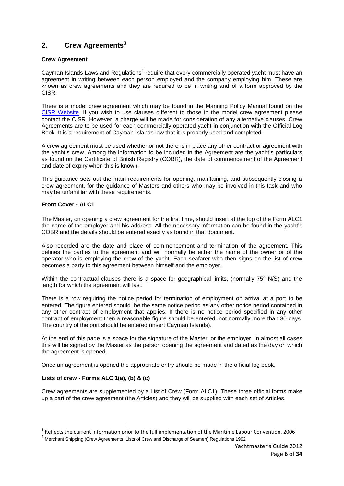## **2. Crew Agreements<sup>3</sup>**

#### **Crew Agreement**

Cayman Islands Laws and Regulations<sup>4</sup> require that every commercially operated yacht must have an agreement in writing between each person employed and the company employing him. These are known as crew agreements and they are required to be in writing and of a form approved by the CISR.

There is a model crew agreement which may be found in the Manning Policy Manual found on the [CISR Website.](http://www.cishipping.com/portal/page?_pageid=1307,1684619&_dad=portal&_schema=PORTAL) If you wish to use clauses different to those in the model crew agreement please contact the CISR. However, a charge will be made for consideration of any alternative clauses. Crew Agreements are to be used for each commercially operated yacht in conjunction with the Official Log Book. It is a requirement of Cayman Islands law that it is properly used and completed.

A crew agreement must be used whether or not there is in place any other contract or agreement with the yacht's crew. Among the information to be included in the Agreement are the yacht's particulars as found on the Certificate of British Registry (COBR), the date of commencement of the Agreement and date of expiry when this is known.

This guidance sets out the main requirements for opening, maintaining, and subsequently closing a crew agreement, for the guidance of Masters and others who may be involved in this task and who may be unfamiliar with these requirements.

#### **Front Cover - ALC1**

The Master, on opening a crew agreement for the first time, should insert at the top of the Form ALC1 the name of the employer and his address. All the necessary information can be found in the yacht's COBR and the details should be entered exactly as found in that document.

Also recorded are the date and place of commencement and termination of the agreement. This defines the parties to the agreement and will normally be either the name of the owner or of the operator who is employing the crew of the yacht. Each seafarer who then signs on the list of crew becomes a party to this agreement between himself and the employer.

Within the contractual clauses there is a space for geographical limits, (normally 75° N/S) and the length for which the agreement will last.

There is a row requiring the notice period for termination of employment on arrival at a port to be entered. The figure entered should be the same notice period as any other notice period contained in any other contract of employment that applies. If there is no notice period specified in any other contract of employment then a reasonable figure should be entered, not normally more than 30 days. The country of the port should be entered (insert Cayman Islands).

At the end of this page is a space for the signature of the Master, or the employer. In almost all cases this will be signed by the Master as the person opening the agreement and dated as the day on which the agreement is opened.

Once an agreement is opened the appropriate entry should be made in the official log book.

## **Lists of crew - Forms ALC 1(a), (b) & (c)**

 $\overline{a}$ 

Crew agreements are supplemented by a List of Crew (Form ALC1). These three official forms make up a part of the crew agreement (the Articles) and they will be supplied with each set of Articles.

 $3$  Reflects the current information prior to the full implementation of the Maritime Labour Convention, 2006

<sup>&</sup>lt;sup>4</sup> Merchant Shipping (Crew Agreements, Lists of Crew and Discharge of Seamen) Regulations 1992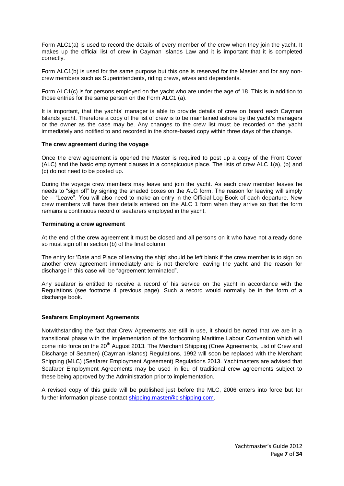Form ALC1(a) is used to record the details of every member of the crew when they join the yacht. It makes up the official list of crew in Cayman Islands Law and it is important that it is completed correctly.

Form ALC1(b) is used for the same purpose but this one is reserved for the Master and for any noncrew members such as Superintendents, riding crews, wives and dependents.

Form ALC1(c) is for persons employed on the yacht who are under the age of 18. This is in addition to those entries for the same person on the Form ALC1 (a).

It is important, that the yachts' manager is able to provide details of crew on board each Cayman Islands yacht. Therefore a copy of the list of crew is to be maintained ashore by the yacht's managers or the owner as the case may be. Any changes to the crew list must be recorded on the yacht immediately and notified to and recorded in the shore-based copy within three days of the change.

#### **The crew agreement during the voyage**

Once the crew agreement is opened the Master is required to post up a copy of the Front Cover (ALC) and the basic employment clauses in a conspicuous place. The lists of crew ALC 1(a), (b) and (c) do not need to be posted up.

During the voyage crew members may leave and join the yacht. As each crew member leaves he needs to "sign off" by signing the shaded boxes on the ALC form. The reason for leaving will simply be – "Leave". You will also need to make an entry in the Official Log Book of each departure. New crew members will have their details entered on the ALC 1 form when they arrive so that the form remains a continuous record of seafarers employed in the yacht.

#### **Terminating a crew agreement**

At the end of the crew agreement it must be closed and all persons on it who have not already done so must sign off in section (b) of the final column.

The entry for 'Date and Place of leaving the ship' should be left blank if the crew member is to sign on another crew agreement immediately and is not therefore leaving the yacht and the reason for discharge in this case will be "agreement terminated".

Any seafarer is entitled to receive a record of his service on the yacht in accordance with the Regulations (see footnote 4 previous page). Such a record would normally be in the form of a discharge book.

#### **Seafarers Employment Agreements**

Notwithstanding the fact that Crew Agreements are still in use, it should be noted that we are in a transitional phase with the implementation of the forthcoming Maritime Labour Convention which will come into force on the 20<sup>th</sup> August 2013. The Merchant Shipping (Crew Agreements, List of Crew and Discharge of Seamen) (Cayman Islands) Regulations, 1992 will soon be replaced with the Merchant Shipping (MLC) (Seafarer Employment Agreement) Regulations 2013. Yachtmasters are advised that Seafarer Employment Agreements may be used in lieu of traditional crew agreements subject to these being approved by the Administration prior to implementation.

A revised copy of this guide will be published just before the MLC, 2006 enters into force but for further information please contact [shipping.master@cishipping.com.](mailto:shipping.master@cishipping.com)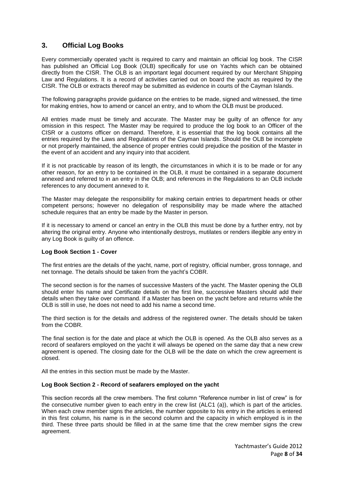## **3. Official Log Books**

Every commercially operated yacht is required to carry and maintain an official log book. The CISR has published an Official Log Book (OLB) specifically for use on Yachts which can be obtained directly from the CISR. The OLB is an important legal document required by our Merchant Shipping Law and Regulations. It is a record of activities carried out on board the yacht as required by the CISR. The OLB or extracts thereof may be submitted as evidence in courts of the Cayman Islands.

The following paragraphs provide guidance on the entries to be made, signed and witnessed, the time for making entries, how to amend or cancel an entry, and to whom the OLB must be produced.

All entries made must be timely and accurate. The Master may be guilty of an offence for any omission in this respect. The Master may be required to produce the log book to an Officer of the CISR or a customs officer on demand. Therefore, it is essential that the log book contains all the entries required by the Laws and Regulations of the Cayman Islands. Should the OLB be incomplete or not properly maintained, the absence of proper entries could prejudice the position of the Master in the event of an accident and any inquiry into that accident.

If it is not practicable by reason of its length, the circumstances in which it is to be made or for any other reason, for an entry to be contained in the OLB, it must be contained in a separate document annexed and referred to in an entry in the OLB; and references in the Regulations to an OLB include references to any document annexed to it.

The Master may delegate the responsibility for making certain entries to department heads or other competent persons; however no delegation of responsibility may be made where the attached schedule requires that an entry be made by the Master in person.

If it is necessary to amend or cancel an entry in the OLB this must be done by a further entry, not by altering the original entry. Anyone who intentionally destroys, mutilates or renders illegible any entry in any Log Book is guilty of an offence.

#### **Log Book Section 1 - Cover**

The first entries are the details of the yacht, name, port of registry, official number, gross tonnage, and net tonnage. The details should be taken from the yacht's COBR.

The second section is for the names of successive Masters of the yacht. The Master opening the OLB should enter his name and Certificate details on the first line, successive Masters should add their details when they take over command. If a Master has been on the yacht before and returns while the OLB is still in use, he does not need to add his name a second time.

The third section is for the details and address of the registered owner. The details should be taken from the COBR.

The final section is for the date and place at which the OLB is opened. As the OLB also serves as a record of seafarers employed on the yacht it will always be opened on the same day that a new crew agreement is opened. The closing date for the OLB will be the date on which the crew agreement is closed.

All the entries in this section must be made by the Master.

#### **Log Book Section 2 - Record of seafarers employed on the yacht**

This section records all the crew members. The first column "Reference number in list of crew" is for the consecutive number given to each entry in the crew list (ALC1 (a)), which is part of the articles. When each crew member signs the articles, the number opposite to his entry in the articles is entered in this first column, his name is in the second column and the capacity in which employed is in the third. These three parts should be filled in at the same time that the crew member signs the crew agreement.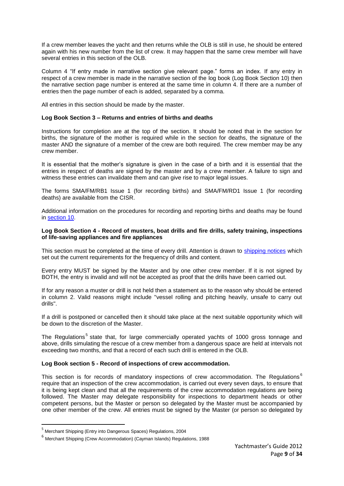If a crew member leaves the yacht and then returns while the OLB is still in use, he should be entered again with his new number from the list of crew. It may happen that the same crew member will have several entries in this section of the OLB.

Column 4 "If entry made in narrative section give relevant page." forms an index. If any entry in respect of a crew member is made in the narrative section of the log book (Log Book Section 10) then the narrative section page number is entered at the same time in column 4. If there are a number of entries then the page number of each is added, separated by a comma.

All entries in this section should be made by the master.

#### <span id="page-8-0"></span>**Log Book Section 3 – Returns and entries of births and deaths**

Instructions for completion are at the top of the section. It should be noted that in the section for births, the signature of the mother is required while in the section for deaths, the signature of the master AND the signature of a member of the crew are both required. The crew member may be any crew member.

It is essential that the mother's signature is given in the case of a birth and it is essential that the entries in respect of deaths are signed by the master and by a crew member. A failure to sign and witness these entries can invalidate them and can give rise to major legal issues.

The forms SMA/FM/RB1 Issue 1 (for recording births) and SMA/FM/RD1 Issue 1 (for recording deaths) are available from the CISR.

Additional information on the procedures for recording and reporting births and deaths may be found in [section 10.](#page-23-0)

#### **Log Book Section 4 - Record of musters, boat drills and fire drills, safety training, inspections of life-saving appliances and fire appliances**

This section must be completed at the time of every drill. Attention is drawn to [shipping notices](http://www.cishipping.com/portal/page?_pageid=1307,1684544&_dad=portal&_schema=PORTAL) which set out the current requirements for the frequency of drills and content.

Every entry MUST be signed by the Master and by one other crew member. If it is not signed by BOTH, the entry is invalid and will not be accepted as proof that the drills have been carried out.

If for any reason a muster or drill is not held then a statement as to the reason why should be entered in column 2. Valid reasons might include "vessel rolling and pitching heavily, unsafe to carry out drills".

If a drill is postponed or cancelled then it should take place at the next suitable opportunity which will be down to the discretion of the Master.

The Regulations<sup>5</sup> state that, for large commercially operated yachts of 1000 gross tonnage and above, drills simulating the rescue of a crew member from a dangerous space are held at intervals not exceeding two months, and that a record of each such drill is entered in the OLB.

#### **Log Book section 5 - Record of inspections of crew accommodation.**

This section is for records of mandatory inspections of crew accommodation. The Regulations<sup>6</sup> require that an inspection of the crew accommodation, is carried out every seven days, to ensure that it is being kept clean and that all the requirements of the crew accommodation regulations are being followed. The Master may delegate responsibility for inspections to department heads or other competent persons, but the Master or person so delegated by the Master must be accompanied by one other member of the crew. All entries must be signed by the Master (or person so delegated by

1

<sup>&</sup>lt;sup>5</sup> Merchant Shipping (Entry into Dangerous Spaces) Regulations, 2004

<sup>6</sup> Merchant Shipping (Crew Accommodation) (Cayman Islands) Regulations, 1988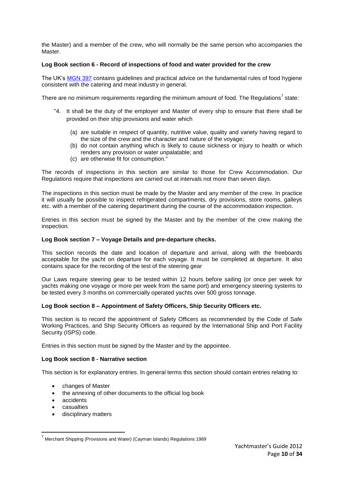the Master) and a member of the crew, who will normally be the same person who accompanies the Master.

#### **Log Book section 6 - Record of inspections of food and water provided for the crew**

The UK's [MGN 397](http://www.mcga.gov.uk/c4mca/397.pdf) contains guidelines and practical advice on the fundamental rules of food hygiene consistent with the catering and meat industry in general.

There are no minimum requirements regarding the minimum amount of food. The Regulations<sup>7</sup> state:

- "4. It shall be the duty of the employer and Master of every ship to ensure that there shall be provided on their ship provisions and water which
	- (a) are suitable in respect of quantity, nutritive value, quality and variety having regard to the size of the crew and the character and nature of the voyage;
	- (b) do not contain anything which is likely to cause sickness or injury to health or which renders any provision or water unpalatable; and
	- (c) are otherwise fit for consumption."

The records of inspections in this section are similar to those for Crew Accommodation. Our Regulations require that inspections are carried out at intervals not more than seven days.

The inspections in this section must be made by the Master and any member of the crew. In practice it will usually be possible to inspect refrigerated compartments, dry provisions, store rooms, galleys etc. with a member of the catering department during the course of the accommodation inspection.

Entries in this section must be signed by the Master and by the member of the crew making the inspection.

#### **Log Book section 7 – Voyage Details and pre-departure checks.**

This section records the date and location of departure and arrival, along with the freeboards acceptable for the yacht on departure for each voyage. It must be completed at departure. It also contains space for the recording of the test of the steering gear

Our Laws require steering gear to be tested within 12 hours before sailing (or once per week for yachts making one voyage or more per week from the same port) and emergency steering systems to be tested every 3 months on commercially operated yachts over 500 gross tonnage.

#### **Log Book section 8 – Appointment of Safety Officers, Ship Security Officers etc.**

This section is to record the appointment of Safety Officers as recommended by the Code of Safe Working Practices, and Ship Security Officers as required by the International Ship and Port Facility Security (ISPS) code.

Entries in this section must be signed by the Master and by the appointee.

#### **Log Book section 8 - Narrative section**

This section is for explanatory entries. In general terms this section should contain entries relating to:

- changes of Master
- the annexing of other documents to the official log book
- accidents
- casualties

1

disciplinary matters

<sup>&</sup>lt;sup>7</sup> Merchant Shipping (Provisions and Water) (Cayman Islands) Regulations 1989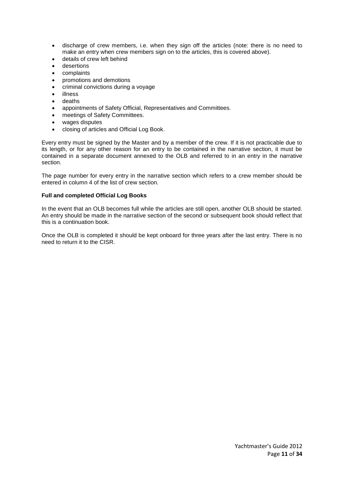- discharge of crew members, i.e. when they sign off the articles (note: there is no need to make an entry when crew members sign on to the articles, this is covered above).
- details of crew left behind
- desertions
- complaints
- promotions and demotions
- criminal convictions during a voyage
- illness
- deaths
- appointments of Safety Official, Representatives and Committees.
- meetings of Safety Committees.
- wages disputes
- closing of articles and Official Log Book.

Every entry must be signed by the Master and by a member of the crew. If it is not practicable due to its length, or for any other reason for an entry to be contained in the narrative section, it must be contained in a separate document annexed to the OLB and referred to in an entry in the narrative section.

The page number for every entry in the narrative section which refers to a crew member should be entered in column 4 of the list of crew section.

#### **Full and completed Official Log Books**

In the event that an OLB becomes full while the articles are still open, another OLB should be started. An entry should be made in the narrative section of the second or subsequent book should reflect that this is a continuation book.

Once the OLB is completed it should be kept onboard for three years after the last entry. There is no need to return it to the CISR.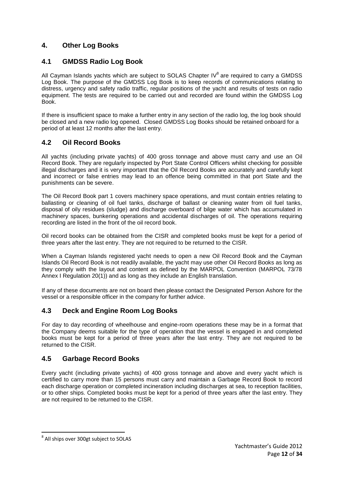## **4. Other Log Books**

## **4.1 GMDSS Radio Log Book**

All Cayman Islands yachts which are subject to SOLAS Chapter IV $^8$  are required to carry a GMDSS Log Book. The purpose of the GMDSS Log Book is to keep records of communications relating to distress, urgency and safety radio traffic, regular positions of the yacht and results of tests on radio equipment. The tests are required to be carried out and recorded are found within the GMDSS Log Book.

If there is insufficient space to make a further entry in any section of the radio log, the log book should be closed and a new radio log opened. Closed GMDSS Log Books should be retained onboard for a period of at least 12 months after the last entry.

## **4.2 Oil Record Books**

All yachts (including private yachts) of 400 gross tonnage and above must carry and use an Oil Record Book. They are regularly inspected by Port State Control Officers whilst checking for possible illegal discharges and it is very important that the Oil Record Books are accurately and carefully kept and incorrect or false entries may lead to an offence being committed in that port State and the punishments can be severe.

The Oil Record Book part 1 covers machinery space operations, and must contain entries relating to ballasting or cleaning of oil fuel tanks, discharge of ballast or cleaning water from oil fuel tanks, disposal of oily residues (sludge) and discharge overboard of bilge water which has accumulated in machinery spaces, bunkering operations and accidental discharges of oil. The operations requiring recording are listed in the front of the oil record book.

Oil record books can be obtained from the CISR and completed books must be kept for a period of three years after the last entry. They are not required to be returned to the CISR.

When a Cayman Islands registered yacht needs to open a new Oil Record Book and the Cayman Islands Oil Record Book is not readily available, the yacht may use other Oil Record Books as long as they comply with the layout and content as defined by the MARPOL Convention (MARPOL 73/78 Annex I Regulation 20(1)) and as long as they include an English translation.

If any of these documents are not on board then please contact the Designated Person Ashore for the vessel or a responsible officer in the company for further advice.

## **4.3 Deck and Engine Room Log Books**

For day to day recording of wheelhouse and engine-room operations these may be in a format that the Company deems suitable for the type of operation that the vessel is engaged in and completed books must be kept for a period of three years after the last entry. They are not required to be returned to the CISR.

## **4.5 Garbage Record Books**

Every yacht (including private yachts) of 400 gross tonnage and above and every yacht which is certified to carry more than 15 persons must carry and maintain a Garbage Record Book to record each discharge operation or completed incineration including discharges at sea, to reception facilities, or to other ships. Completed books must be kept for a period of three years after the last entry. They are not required to be returned to the CISR.

 8 All ships over 300gt subject to SOLAS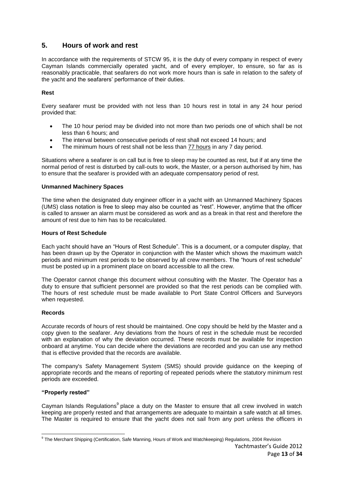## **5. Hours of work and rest**

In accordance with the requirements of STCW 95, it is the duty of every company in respect of every Cayman Islands commercially operated yacht, and of every employer, to ensure, so far as is reasonably practicable, that seafarers do not work more hours than is safe in relation to the safety of the yacht and the seafarers' performance of their duties.

#### **Rest**

Every seafarer must be provided with not less than 10 hours rest in total in any 24 hour period provided that:

- The 10 hour period may be divided into not more than two periods one of which shall be not less than 6 hours; and
- The interval between consecutive periods of rest shall not exceed 14 hours; and
- The minimum hours of rest shall not be less than 77 hours in any 7 day period.

Situations where a seafarer is on call but is free to sleep may be counted as rest, but if at any time the normal period of rest is disturbed by call-outs to work, the Master, or a person authorised by him, has to ensure that the seafarer is provided with an adequate compensatory period of rest.

#### **Unmanned Machinery Spaces**

The time when the designated duty engineer officer in a yacht with an Unmanned Machinery Spaces (UMS) class notation is free to sleep may also be counted as "rest". However, anytime that the officer is called to answer an alarm must be considered as work and as a break in that rest and therefore the amount of rest due to him has to be recalculated.

#### **Hours of Rest Schedule**

Each yacht should have an "Hours of Rest Schedule". This is a document, or a computer display, that has been drawn up by the Operator in conjunction with the Master which shows the maximum watch periods and minimum rest periods to be observed by all crew members. The "hours of rest schedule" must be posted up in a prominent place on board accessible to all the crew.

The Operator cannot change this document without consulting with the Master. The Operator has a duty to ensure that sufficient personnel are provided so that the rest periods can be complied with. The hours of rest schedule must be made available to Port State Control Officers and Surveyors when requested.

#### **Records**

Accurate records of hours of rest should be maintained. One copy should be held by the Master and a copy given to the seafarer. Any deviations from the hours of rest in the schedule must be recorded with an explanation of why the deviation occurred. These records must be available for inspection onboard at anytime. You can decide where the deviations are recorded and you can use any method that is effective provided that the records are available.

The company's Safety Management System (SMS) should provide guidance on the keeping of appropriate records and the means of reporting of repeated periods where the statutory minimum rest periods are exceeded.

#### **"Properly rested"**

Cayman Islands Regulations<sup>9</sup> place a duty on the Master to ensure that all crew involved in watch keeping are properly rested and that arrangements are adequate to maintain a safe watch at all times. The Master is required to ensure that the yacht does not sail from any port unless the officers in

 9 The Merchant Shipping (Certification, Safe Manning, Hours of Work and Watchkeeping) Regulations, 2004 Revision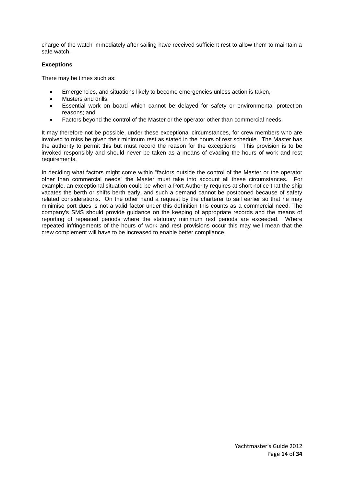charge of the watch immediately after sailing have received sufficient rest to allow them to maintain a safe watch.

#### **Exceptions**

There may be times such as:

- Emergencies, and situations likely to become emergencies unless action is taken,
- Musters and drills,
- Essential work on board which cannot be delayed for safety or environmental protection reasons; and
- Factors beyond the control of the Master or the operator other than commercial needs.

It may therefore not be possible, under these exceptional circumstances, for crew members who are involved to miss be given their minimum rest as stated in the hours of rest schedule. The Master has the authority to permit this but must record the reason for the exceptions This provision is to be invoked responsibly and should never be taken as a means of evading the hours of work and rest requirements.

In deciding what factors might come within "factors outside the control of the Master or the operator other than commercial needs" the Master must take into account all these circumstances. For example, an exceptional situation could be when a Port Authority requires at short notice that the ship vacates the berth or shifts berth early, and such a demand cannot be postponed because of safety related considerations. On the other hand a request by the charterer to sail earlier so that he may minimise port dues is not a valid factor under this definition this counts as a commercial need. The company's SMS should provide guidance on the keeping of appropriate records and the means of reporting of repeated periods where the statutory minimum rest periods are exceeded. Where repeated infringements of the hours of work and rest provisions occur this may well mean that the crew complement will have to be increased to enable better compliance.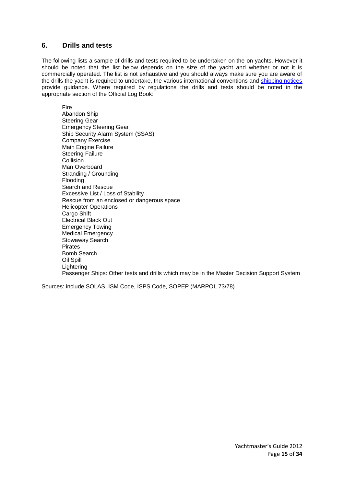## **6. Drills and tests**

The following lists a sample of drills and tests required to be undertaken on the on yachts. However it should be noted that the list below depends on the size of the yacht and whether or not it is commercially operated. The list is not exhaustive and you should always make sure you are aware of the drills the yacht is required to undertake, the various international conventions and [shipping notices](http://www.cishipping.com/portal/page?_pageid=1307,1684544&_dad=portal&_schema=PORTAL) provide guidance. Where required by regulations the drills and tests should be noted in the appropriate section of the Official Log Book:

Fire

Abandon Ship Steering Gear Emergency Steering Gear Ship Security Alarm System (SSAS) Company Exercise Main Engine Failure Steering Failure **Collision** Man Overboard Stranding / Grounding Flooding Search and Rescue Excessive List / Loss of Stability Rescue from an enclosed or dangerous space Helicopter Operations Cargo Shift Electrical Black Out Emergency Towing Medical Emergency Stowaway Search Pirates Bomb Search Oil Spill Lightering Passenger Ships: Other tests and drills which may be in the Master Decision Support System

Sources: include SOLAS, ISM Code, ISPS Code, SOPEP (MARPOL 73/78)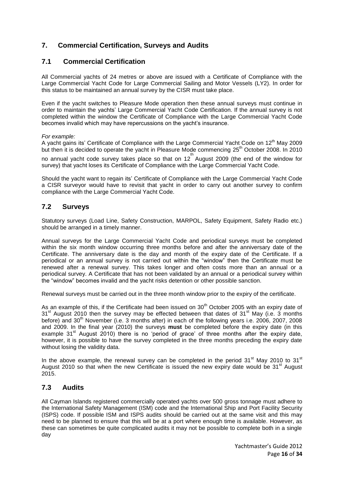## **7. Commercial Certification, Surveys and Audits**

## **7.1 Commercial Certification**

All Commercial yachts of 24 metres or above are issued with a Certificate of Compliance with the Large Commercial Yacht Code for Large Commercial Sailing and Motor Vessels (LY2). In order for this status to be maintained an annual survey by the CISR must take place.

Even if the yacht switches to Pleasure Mode operation then these annual surveys must continue in order to maintain the yachts' Large Commercial Yacht Code Certification. If the annual survey is not completed within the window the Certificate of Compliance with the Large Commercial Yacht Code becomes invalid which may have repercussions on the yacht's insurance.

*For example:* 

A yacht gains its' Certificate of Compliance with the Large Commercial Yacht Code on  $12<sup>th</sup>$  May 2009 but then it is decided to operate the yacht in Pleasure Mode commencing 25<sup>th</sup> October 2008. In 2010

no annual yacht code survey takes place so that on 12<sup>th</sup> August 2009 (the end of the window for survey) that yacht loses its Certificate of Compliance with the Large Commercial Yacht Code.

Should the yacht want to regain its' Certificate of Compliance with the Large Commercial Yacht Code a CISR surveyor would have to revisit that yacht in order to carry out another survey to confirm compliance with the Large Commercial Yacht Code.

## **7.2 Surveys**

Statutory surveys (Load Line, Safety Construction, MARPOL, Safety Equipment, Safety Radio etc.) should be arranged in a timely manner.

Annual surveys for the Large Commercial Yacht Code and periodical surveys must be completed within the six month window occurring three months before and after the anniversary date of the Certificate. The anniversary date is the day and month of the expiry date of the Certificate. If a periodical or an annual survey is not carried out within the "window" then the Certificate must be renewed after a renewal survey. This takes longer and often costs more than an annual or a periodical survey. A Certificate that has not been validated by an annual or a periodical survey within the "window" becomes invalid and the yacht risks detention or other possible sanction.

Renewal surveys must be carried out in the three month window prior to the expiry of the certificate.

As an example of this, if the Certificate had been issued on 30<sup>th</sup> October 2005 with an expiry date of  $31<sup>st</sup>$  August 2010 then the survey may be effected between that dates of 31<sup>st</sup> May (i.e. 3 months before) and 30<sup>th</sup> November (i.e. 3 months after) in each of the following years i.e. 2006, 2007, 2008 and 2009. In the final year (2010) the surveys **must** be completed before the expiry date (in this example  $31<sup>st</sup>$  August 2010) there is no 'period of grace' of three months after the expiry date, however, it is possible to have the survey completed in the three months preceding the expiry date without losing the validity data.

In the above example, the renewal survey can be completed in the period 31<sup>st</sup> May 2010 to 31<sup>st</sup> August 2010 so that when the new Certificate is issued the new expiry date would be  $31<sup>st</sup>$  August 2015.

## **7.3 Audits**

All Cayman Islands registered commercially operated yachts over 500 gross tonnage must adhere to the International Safety Management (ISM) code and the International Ship and Port Facility Security (ISPS) code. If possible ISM and ISPS audits should be carried out at the same visit and this may need to be planned to ensure that this will be at a port where enough time is available. However, as these can sometimes be quite complicated audits it may not be possible to complete both in a single day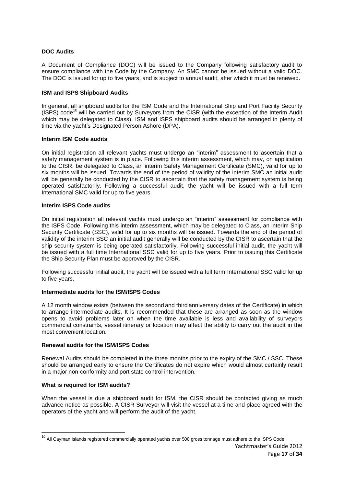#### **DOC Audits**

A Document of Compliance (DOC) will be issued to the Company following satisfactory audit to ensure compliance with the Code by the Company. An SMC cannot be issued without a valid DOC. The DOC is issued for up to five years, and is subject to annual audit, after which it must be renewed.

#### **ISM and ISPS Shipboard Audits**

In general, all shipboard audits for the ISM Code and the International Ship and Port Facility Security (ISPS) code<sup>10</sup> will be carried out by Surveyors from the CISR (with the exception of the Interim Audit which may be delegated to Class). ISM and ISPS shipboard audits should be arranged in plenty of time via the yacht's Designated Person Ashore (DPA).

#### **Interim ISM Code audits**

On initial registration all relevant yachts must undergo an "interim" assessment to ascertain that a safety management system is in place. Following this interim assessment, which may, on application to the CISR, be delegated to Class, an interim Safety Management Certificate (SMC), valid for up to six months will be issued. Towards the end of the period of validity of the interim SMC an initial audit will be generally be conducted by the CISR to ascertain that the safety management system is being operated satisfactorily. Following a successful audit, the yacht will be issued with a full term International SMC valid for up to five years.

#### **Interim ISPS Code audits**

On initial registration all relevant yachts must undergo an "interim" assessment for compliance with the ISPS Code. Following this interim assessment, which may be delegated to Class, an interim Ship Security Certificate (SSC), valid for up to six months will be issued. Towards the end of the period of validity of the interim SSC an initial audit generally will be conducted by the CISR to ascertain that the ship security system is being operated satisfactorily. Following successful initial audit, the yacht will be issued with a full time International SSC valid for up to five years. Prior to issuing this Certificate the Ship Security Plan must be approved by the CISR.

Following successful initial audit, the yacht will be issued with a full term International SSC valid for up to five years.

#### **Intermediate audits for the ISM/ISPS Codes**

A 12 month window exists (between the second and third anniversary dates of the Certificate) in which to arrange intermediate audits. It is recommended that these are arranged as soon as the window opens to avoid problems later on when the time available is less and availability of surveyors commercial constraints, vessel itinerary or location may affect the ability to carry out the audit in the most convenient location.

#### **Renewal audits for the ISM/ISPS Codes**

Renewal Audits should be completed in the three months prior to the expiry of the SMC / SSC. These should be arranged early to ensure the Certificates do not expire which would almost certainly result in a major non-conformity and port state control intervention.

#### **What is required for ISM audits?**

1

When the vessel is due a shipboard audit for ISM, the CISR should be contacted giving as much advance notice as possible. A CISR Surveyor will visit the vessel at a time and place agreed with the operators of the yacht and will perform the audit of the yacht.

 $^{10}$  All Cayman Islands registered commercially operated yachts over 500 gross tonnage must adhere to the ISPS Code.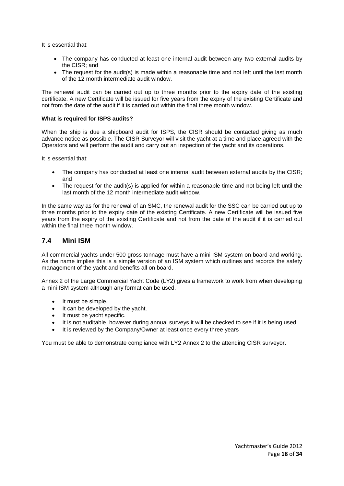It is essential that:

- The company has conducted at least one internal audit between any two external audits by the CISR; and
- The request for the audit(s) is made within a reasonable time and not left until the last month of the 12 month intermediate audit window.

The renewal audit can be carried out up to three months prior to the expiry date of the existing certificate. A new Certificate will be issued for five years from the expiry of the existing Certificate and not from the date of the audit if it is carried out within the final three month window.

#### **What is required for ISPS audits?**

When the ship is due a shipboard audit for ISPS, the CISR should be contacted giving as much advance notice as possible. The CISR Surveyor will visit the yacht at a time and place agreed with the Operators and will perform the audit and carry out an inspection of the yacht and its operations.

It is essential that:

- The company has conducted at least one internal audit between external audits by the CISR; and
- The request for the audit(s) is applied for within a reasonable time and not being left until the last month of the 12 month intermediate audit window.

In the same way as for the renewal of an SMC, the renewal audit for the SSC can be carried out up to three months prior to the expiry date of the existing Certificate. A new Certificate will be issued five years from the expiry of the existing Certificate and not from the date of the audit if it is carried out within the final three month window.

## **7.4 Mini ISM**

All commercial yachts under 500 gross tonnage must have a mini ISM system on board and working. As the name implies this is a simple version of an ISM system which outlines and records the safety management of the yacht and benefits all on board.

Annex 2 of the Large Commercial Yacht Code (LY2) gives a framework to work from when developing a mini ISM system although any format can be used.

- It must be simple.
- $\bullet$  It can be developed by the vacht.
- It must be yacht specific.
- It is not auditable, however during annual surveys it will be checked to see if it is being used.
- It is reviewed by the Company/Owner at least once every three years

You must be able to demonstrate compliance with LY2 Annex 2 to the attending CISR surveyor.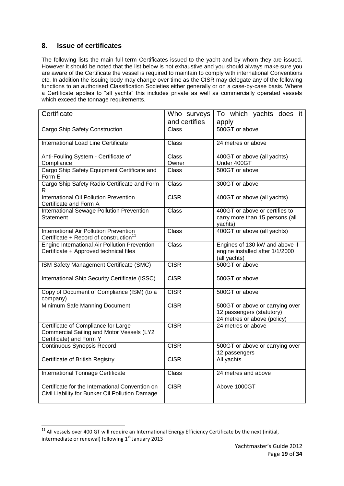## **8. Issue of certificates**

 $\overline{a}$ 

The following lists the main full term Certificates issued to the yacht and by whom they are issued. However it should be noted that the list below is not exhaustive and you should always make sure you are aware of the Certificate the vessel is required to maintain to comply with international Conventions etc. In addition the issuing body may change over time as the CISR may delegate any of the following functions to an authorised Classification Societies either generally or on a case-by-case basis. Where a Certificate applies to "all yachts" this includes private as well as commercially operated vessels which exceed the tonnage requirements.

| Certificate                                                                                                 | Who surveys   | To which yachts does it                                                                     |
|-------------------------------------------------------------------------------------------------------------|---------------|---------------------------------------------------------------------------------------------|
|                                                                                                             | and certifies | apply                                                                                       |
| Cargo Ship Safety Construction                                                                              | Class         | 500GT or above                                                                              |
| International Load Line Certificate                                                                         | <b>Class</b>  | 24 metres or above                                                                          |
| Anti-Fouling System - Certificate of                                                                        | <b>Class</b>  | 400GT or above (all yachts)                                                                 |
| Compliance                                                                                                  | Owner         | Under 400GT                                                                                 |
| Cargo Ship Safety Equipment Certificate and<br>Form E                                                       | Class         | 500GT or above                                                                              |
| Cargo Ship Safety Radio Certificate and Form<br>R.                                                          | <b>Class</b>  | 300GT or above                                                                              |
| International Oil Pollution Prevention<br>Certificate and Form A                                            | <b>CISR</b>   | 400GT or above (all yachts)                                                                 |
| International Sewage Pollution Prevention<br>Statement                                                      | Class         | 400GT or above or certifies to<br>carry more than 15 persons (all<br>yachts)                |
| International Air Pollution Prevention<br>Certificate + Record of construction <sup>11</sup>                | Class         | 400GT or above (all yachts)                                                                 |
| Engine International Air Pollution Prevention<br>Certificate + Approved technical files                     | <b>Class</b>  | Engines of 130 kW and above if<br>engine installed after 1/1/2000<br>(all yachts)           |
| ISM Safety Management Certificate (SMC)                                                                     | <b>CISR</b>   | 500GT or above                                                                              |
| International Ship Security Certificate (ISSC)                                                              | <b>CISR</b>   | 500GT or above                                                                              |
| Copy of Document of Compliance (ISM) (to a<br>company)                                                      | <b>CISR</b>   | 500GT or above                                                                              |
| Minimum Safe Manning Document                                                                               | <b>CISR</b>   | 500GT or above or carrying over<br>12 passengers (statutory)<br>24 metres or above (policy) |
| Certificate of Compliance for Large<br>Commercial Sailing and Motor Vessels (LY2<br>Certificate) and Form Y | <b>CISR</b>   | $\overline{24}$ metres or above                                                             |
| <b>Continuous Synopsis Record</b>                                                                           | <b>CISR</b>   | 500GT or above or carrying over<br>12 passengers                                            |
| Certificate of British Registry                                                                             | <b>CISR</b>   | All yachts                                                                                  |
| <b>International Tonnage Certificate</b>                                                                    | <b>Class</b>  | 24 metres and above                                                                         |
| Certificate for the International Convention on<br>Civil Liability for Bunker Oil Pollution Damage          | <b>CISR</b>   | Above 1000GT                                                                                |

 $11$  All vessels over 400 GT will require an International Energy Efficiency Certificate by the next (initial, intermediate or renewal) following  $1<sup>st</sup>$  January 2013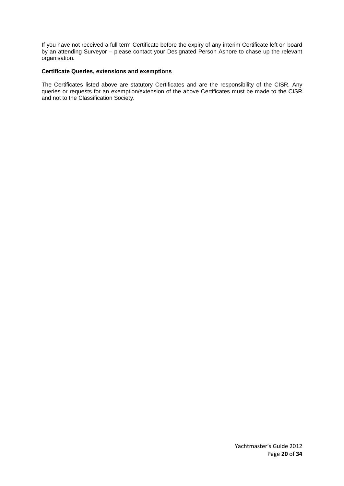If you have not received a full term Certificate before the expiry of any interim Certificate left on board by an attending Surveyor – please contact your Designated Person Ashore to chase up the relevant organisation.

#### **Certificate Queries, extensions and exemptions**

The Certificates listed above are statutory Certificates and are the responsibility of the CISR. Any queries or requests for an exemption/extension of the above Certificates must be made to the CISR and not to the Classification Society.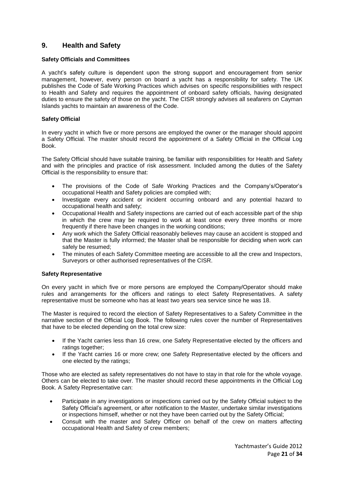## **9. Health and Safety**

#### **Safety Officials and Committees**

A yacht's safety culture is dependent upon the strong support and encouragement from senior management, however, every person on board a yacht has a responsibility for safety. The UK publishes the Code of Safe Working Practices which advises on specific responsibilities with respect to Health and Safety and requires the appointment of onboard safety officials, having designated duties to ensure the safety of those on the yacht. The CISR strongly advises all seafarers on Cayman Islands yachts to maintain an awareness of the Code.

#### **Safety Official**

In every yacht in which five or more persons are employed the owner or the manager should appoint a Safety Official. The master should record the appointment of a Safety Official in the Official Log Book.

The Safety Official should have suitable training, be familiar with responsibilities for Health and Safety and with the principles and practice of risk assessment. Included among the duties of the Safety Official is the responsibility to ensure that:

- The provisions of the Code of Safe Working Practices and the Company's/Operator's occupational Health and Safety policies are complied with;
- Investigate every accident or incident occurring onboard and any potential hazard to occupational health and safety;
- Occupational Health and Safety inspections are carried out of each accessible part of the ship in which the crew may be required to work at least once every three months or more frequently if there have been changes in the working conditions;
- Any work which the Safety Official reasonably believes may cause an accident is stopped and that the Master is fully informed; the Master shall be responsible for deciding when work can safely be resumed;
- The minutes of each Safety Committee meeting are accessible to all the crew and Inspectors, Surveyors or other authorised representatives of the CISR.

#### **Safety Representative**

On every yacht in which five or more persons are employed the Company/Operator should make rules and arrangements for the officers and ratings to elect Safety Representatives. A safety representative must be someone who has at least two years sea service since he was 18.

The Master is required to record the election of Safety Representatives to a Safety Committee in the narrative section of the Official Log Book. The following rules cover the number of Representatives that have to be elected depending on the total crew size:

- If the Yacht carries less than 16 crew, one Safety Representative elected by the officers and ratings together;
- If the Yacht carries 16 or more crew; one Safety Representative elected by the officers and one elected by the ratings;

Those who are elected as safety representatives do not have to stay in that role for the whole voyage. Others can be elected to take over. The master should record these appointments in the Official Log Book. A Safety Representative can:

- Participate in any investigations or inspections carried out by the Safety Official subject to the Safety Official's agreement, or after notification to the Master, undertake similar investigations or inspections himself, whether or not they have been carried out by the Safety Official;
- Consult with the master and Safety Officer on behalf of the crew on matters affecting occupational Health and Safety of crew members;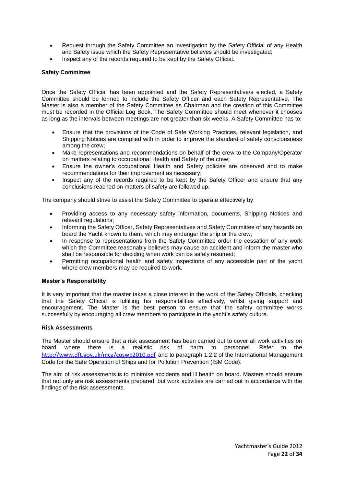- Request through the Safety Committee an investigation by the Safety Official of any Health and Safety issue which the Safety Representative believes should be investigated;
- Inspect any of the records required to be kept by the Safety Official.

#### **Safety Committee**

Once the Safety Official has been appointed and the Safety Representative/s elected, a Safety Committee should be formed to include the Safety Officer and each Safety Representative. The Master is also a member of the Safety Committee as Chairman and the creation of this Committee must be recorded in the Official Log Book. The Safety Committee should meet whenever it chooses as long as the intervals between meetings are not greater than six weeks. A Safety Committee has to:

- Ensure that the provisions of the Code of Safe Working Practices, relevant legislation, and Shipping Notices are complied with in order to improve the standard of safety consciousness among the crew;
- Make representations and recommendations on behalf of the crew to the Company/Operator on matters relating to occupational Health and Safety of the crew;
- Ensure the owner's occupational Health and Safety policies are observed and to make recommendations for their improvement as necessary;
- Inspect any of the records required to be kept by the Safety Officer and ensure that any conclusions reached on matters of safety are followed up.

The company should strive to assist the Safety Committee to operate effectively by:

- Providing access to any necessary safety information, documents, Shipping Notices and relevant regulations;
- Informing the Safety Officer, Safety Representatives and Safety Committee of any hazards on board the Yacht known to them, which may endanger the ship or the crew;
- In response to representations from the Safety Committee order the cessation of any work which the Committee reasonably believes may cause an accident and inform the master who shall be responsible for deciding when work can be safely resumed;
- Permitting occupational health and safety inspections of any accessible part of the yacht where crew members may be required to work.

#### **Master's Responsibility**

It is very important that the master takes a close interest in the work of the Safety Officials, checking that the Safety Official is fulfilling his responsibilities effectively, whilst giving support and encouragement. The Master is the best person to ensure that the safety committee works successfully by encouraging all crew members to participate in the yacht's safety culture.

#### **Risk Assessments**

The Master should ensure that a risk assessment has been carried out to cover all work activities on board where there is a realistic risk of harm to personnel. Refer to the <http://www.dft.gov.uk/mca/coswp2010.pdf> and to paragraph 1.2.2 of the International Management Code for the Safe Operation of Ships and for Pollution Prevention (ISM Code).

The aim of risk assessments is to minimise accidents and ill health on board. Masters should ensure that not only are risk assessments prepared, but work activities are carried out in accordance with the findings of the risk assessments.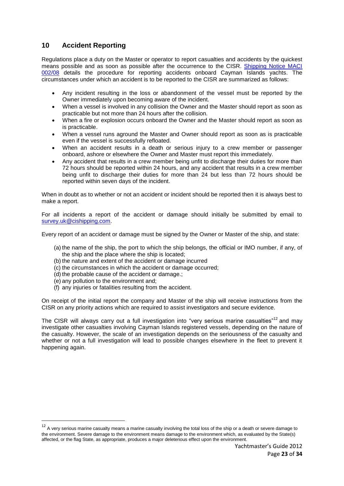## **10 Accident Reporting**

Regulations place a duty on the Master or operator to report casualties and accidents by the quickest means possible and as soon as possible after the occurrence to the CISR. [Shipping Notice MACI](http://www.cishipping.com/pls/portal/docs/PAGE/SRGHOME/SURVEY/SHIPPINGNOTICES/2008/NOTICE022008/NOTICE022008.PDF)  [002/08](http://www.cishipping.com/pls/portal/docs/PAGE/SRGHOME/SURVEY/SHIPPINGNOTICES/2008/NOTICE022008/NOTICE022008.PDF) details the procedure for reporting accidents onboard Cayman Islands yachts. The circumstances under which an accident is to be reported to the CISR are summarized as follows:

- Any incident resulting in the loss or abandonment of the vessel must be reported by the Owner immediately upon becoming aware of the incident.
- When a vessel is involved in any collision the Owner and the Master should report as soon as practicable but not more than 24 hours after the collision.
- When a fire or explosion occurs onboard the Owner and the Master should report as soon as is practicable.
- When a vessel runs aground the Master and Owner should report as soon as is practicable even if the vessel is successfully refloated.
- When an accident results in a death or serious injury to a crew member or passenger onboard, ashore or elsewhere the Owner and Master must report this immediately.
- Any accident that results in a crew member being unfit to discharge their duties for more than 72 hours should be reported within 24 hours, and any accident that results in a crew member being unfit to discharge their duties for more than 24 but less than 72 hours should be reported within seven days of the incident.

When in doubt as to whether or not an accident or incident should be reported then it is always best to make a report.

For all incidents a report of the accident or damage should initially be submitted by email to [survey.uk@cishipping.com.](mailto:survey.uk@cishipping.com)

Every report of an accident or damage must be signed by the Owner or Master of the ship, and state:

- (a) the name of the ship, the port to which the ship belongs, the official or IMO number, if any, of the ship and the place where the ship is located;
- (b) the nature and extent of the accident or damage incurred
- (c) the circumstances in which the accident or damage occurred;
- (d) the probable cause of the accident or damage.;
- (e) any pollution to the environment and;

**.** 

(f) any injuries or fatalities resulting from the accident.

On receipt of the initial report the company and Master of the ship will receive instructions from the CISR on any priority actions which are required to assist investigators and secure evidence.

The CISR will always carry out a full investigation into "very serious marine casualties"<sup>12</sup> and may investigate other casualties involving Cayman Islands registered vessels, depending on the nature of the casualty. However, the scale of an investigation depends on the seriousness of the casualty and whether or not a full investigation will lead to possible changes elsewhere in the fleet to prevent it happening again.

 $12$  A very serious marine casualty means a marine casualty involving the total loss of the ship or a death or severe damage to the environment. Severe damage to the environment means damage to the environment which, as evaluated by the State(s) affected, or the flag State, as appropriate, produces a major deleterious effect upon the environment.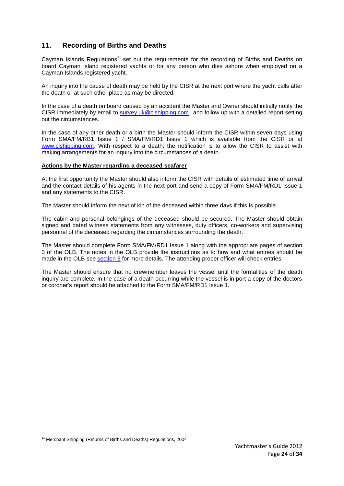## <span id="page-23-0"></span>**11. Recording of Births and Deaths**

Cayman Islands Regulations<sup>13</sup> set out the requirements for the recording of Births and Deaths on board Cayman Island registered yachts or for any person who dies ashore when employed on a Cayman Islands registered yacht.

An inquiry into the cause of death may be held by the CISR at the next port where the yacht calls after the death or at such other place as may be directed.

In the case of a death on board caused by an accident the Master and Owner should initially notify the CISR immediately by email to [survey.uk@cishipping.com](mailto:survey.uk@cishipping.com) and follow up with a detailed report setting out the circumstances.

In the case of any other death or a birth the Master should inform the CISR within seven days using Form SMA/FM/RB1 Issue 1 / SMA/FM/RD1 Issue 1 which is available from the CISR or at [www.cishipping.com.](http://www.cishipping.com/) With respect to a death, the notification is to allow the CISR to assist with making arrangements for an inquiry into the circumstances of a death.

#### **Actions by the Master regarding a deceased seafarer**

At the first opportunity the Master should also inform the CISR with details of estimated time of arrival and the contact details of his agents in the next port and send a copy of Form SMA/FM/RD1 Issue 1 and any statements to the CISR.

The Master should inform the next of kin of the deceased within three days if this is possible.

The cabin and personal belongings of the deceased should be secured. The Master should obtain signed and dated witness statements from any witnesses, duty officers, co-workers and supervising personnel of the deceased regarding the circumstances surrounding the death.

The Master should complete Form SMA/FM/RD1 Issue 1 along with the appropriate pages of section 3 of the OLB. The notes in the OLB provide the instructions as to how and what entries should be made in the OLB see [section 3](#page-8-0) for more details. The attending proper officer will check entries.

The Master should ensure that no crewmember leaves the vessel until the formalities of the death inquiry are complete. In the case of a death occurring while the vessel is in port a copy of the doctors or coroner's report should be attached to the Form SMA/FM/RD1 Issue 1.

<sup>1</sup> <sup>13</sup> Merchant Shipping (Returns of Births and Deaths) Regulations, 2004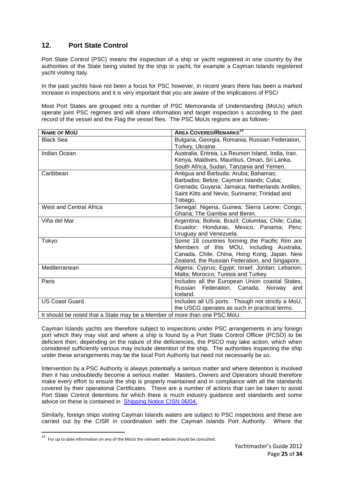## **12. Port State Control**

Port State Control (PSC) means the inspection of a ship or yacht registered in one country by the authorities of the State being visited by the ship or yacht, for example a Cayman Islands registered yacht visiting Italy.

In the past yachts have not been a focus for PSC however, in recent years there has been a marked increase in inspections and it is very important that you are aware of the implications of PSC/

Most Port States are grouped into a number of PSC Memoranda of Understanding (MoUs) which operate joint PSC regimes and will share information and target inspection s according to the past record of the vessel and the Flag the vessel flies. The PSC MoUs regions are as follows-

| <b>NAME OF MOU</b>                                                        | <b>AREA COVERED/REMARKS<sup>14</sup></b>            |  |
|---------------------------------------------------------------------------|-----------------------------------------------------|--|
| <b>Black Sea</b>                                                          | Bulgaria, Georgia, Romania, Russian Federation,     |  |
|                                                                           | Turkey, Ukraine.                                    |  |
| Indian Ocean                                                              | Australia, Eritrea, La Reunion Island, India, Iran. |  |
|                                                                           | Kenya, Maldives, Mauritius, Oman, Sri Lanka,        |  |
|                                                                           | South Africa, Sudan, Tanzania and Yemen.            |  |
| Caribbean                                                                 | Antigua and Barbuda; Aruba; Bahamas;                |  |
|                                                                           | Barbados; Belize; Cayman Islands; Cuba;             |  |
|                                                                           | Grenada; Guyana; Jamaica; Netherlands Antilles;     |  |
|                                                                           | Saint Kitts and Nevis; Suriname; Trinidad and       |  |
|                                                                           | Tobago.                                             |  |
| West and Central Africa                                                   | Senegal; Nigeria, Guinea; Sierra Leone; Congo;      |  |
|                                                                           | Ghana; The Gambia and Benin.                        |  |
| Viña del Mar                                                              | Argentina; Bolivia; Brazil; Columbia; Chile; Cuba;  |  |
|                                                                           | Ecuador; Honduras, Mexico, Panama; Peru;            |  |
|                                                                           | Uruguay and Venezuela.                              |  |
| Tokyo                                                                     | Some 18 countries forming the Pacific Rim are       |  |
|                                                                           | Members of this MOU, including Australia,           |  |
|                                                                           | Canada, Chile, China, Hong Kong, Japan. New         |  |
|                                                                           | Zealand, the Russian Federation, and Singapore.     |  |
| Mediterranean                                                             | Algeria; Cyprus; Egypt; Israel; Jordan; Lebanon;    |  |
|                                                                           | Malta; Morocco; Tunisia and Turkey.                 |  |
| Paris                                                                     | Includes all the European Union coastal States,     |  |
|                                                                           | Russian Federation, Canada, Norway<br>and           |  |
|                                                                           | Iceland.                                            |  |
| <b>US Coast Guard</b>                                                     | Includes all US ports. Though not strictly a MoU,   |  |
|                                                                           | the USCG operates as such in practical terms.       |  |
| It should be noted that a Ctate may be a Member of mare than and BCC Mell |                                                     |  |

It should be noted that a State may be a Member of more than one PSC MoU.

Cayman Islands yachts are therefore subject to inspections under PSC arrangements in any foreign port which they may visit and where a ship is found by a Port State Control Officer (PCSO) to be deficient then, depending on the nature of the deficiencies, the PSCO may take action, which when considered sufficiently serious may include detention of the ship. The authorities inspecting the ship under these arrangements may be the local Port Authority but need not necessarily be so.

Intervention by a PSC Authority is always potentially a serious matter and where detention is involved then it has undoubtedly become a serious matter. Masters, Owners and Operators should therefore make every effort to ensure the ship is properly maintained and in compliance with all the standards covered by their operational Certificates. There are a number of actions that can be taken to avoid Port State Control detentions for which there is much industry guidance and standards and some advice on these is contained in [Shipping Notice CISN 06/04.](http://www.cishipping.com/portal/page?_pageid=1307,1691453&_dad=portal&_schema=PORTAL)

Similarly, foreign ships visiting Cayman Islands waters are subject to PSC inspections and these are carried out by the CISR in coordination with the Cayman Islands Port Authority. Where the

 14 For up to date information on any of the MoUs the relevant website should be consulted.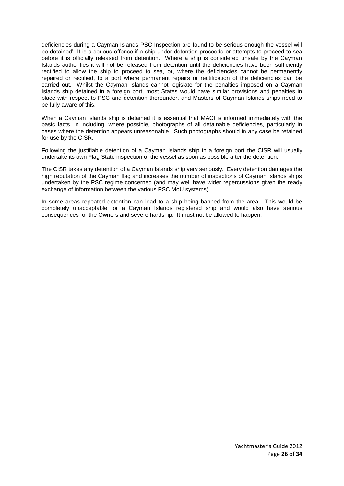deficiencies during a Cayman Islands PSC Inspection are found to be serious enough the vessel will be detained' It is a serious offence if a ship under detention proceeds or attempts to proceed to sea before it is officially released from detention. Where a ship is considered unsafe by the Cayman Islands authorities it will not be released from detention until the deficiencies have been sufficiently rectified to allow the ship to proceed to sea, or, where the deficiencies cannot be permanently repaired or rectified, to a port where permanent repairs or rectification of the deficiencies can be carried out. Whilst the Cayman Islands cannot legislate for the penalties imposed on a Cayman Islands ship detained in a foreign port, most States would have similar provisions and penalties in place with respect to PSC and detention thereunder, and Masters of Cayman Islands ships need to be fully aware of this.

When a Cayman Islands ship is detained it is essential that MACI is informed immediately with the basic facts, in including, where possible, photographs of all detainable deficiencies, particularly in cases where the detention appears unreasonable. Such photographs should in any case be retained for use by the CISR.

Following the justifiable detention of a Cayman Islands ship in a foreign port the CISR will usually undertake its own Flag State inspection of the vessel as soon as possible after the detention.

The CISR takes any detention of a Cayman Islands ship very seriously. Every detention damages the high reputation of the Cayman flag and increases the number of inspections of Cayman Islands ships undertaken by the PSC regime concerned (and may well have wider repercussions given the ready exchange of information between the various PSC MoU systems)

In some areas repeated detention can lead to a ship being banned from the area. This would be completely unacceptable for a Cayman Islands registered ship and would also have serious consequences for the Owners and severe hardship. It must not be allowed to happen.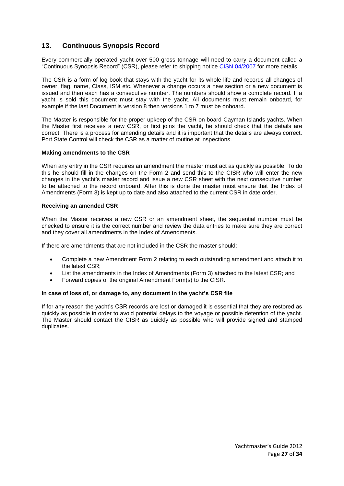## **13. Continuous Synopsis Record**

Every commercially operated yacht over 500 gross tonnage will need to carry a document called a "Continuous Synopsis Record" (CSR), please refer to shipping notice [CISN 04/2007](http://www.cishipping.com/portal/page?_pageid=1307,2256342&_dad=portal&_schema=PORTAL) for more details.

The CSR is a form of log book that stays with the yacht for its whole life and records all changes of owner, flag, name, Class, ISM etc. Whenever a change occurs a new section or a new document is issued and then each has a consecutive number. The numbers should show a complete record. If a yacht is sold this document must stay with the yacht. All documents must remain onboard, for example if the last Document is version 8 then versions 1 to 7 must be onboard.

The Master is responsible for the proper upkeep of the CSR on board Cayman Islands yachts. When the Master first receives a new CSR, or first joins the yacht, he should check that the details are correct. There is a process for amending details and it is important that the details are always correct. Port State Control will check the CSR as a matter of routine at inspections.

#### **Making amendments to the CSR**

When any entry in the CSR requires an amendment the master must act as quickly as possible. To do this he should fill in the changes on the Form 2 and send this to the CISR who will enter the new changes in the yacht's master record and issue a new CSR sheet with the next consecutive number to be attached to the record onboard. After this is done the master must ensure that the Index of Amendments (Form 3) is kept up to date and also attached to the current CSR in date order.

#### **Receiving an amended CSR**

When the Master receives a new CSR or an amendment sheet, the sequential number must be checked to ensure it is the correct number and review the data entries to make sure they are correct and they cover all amendments in the Index of Amendments.

If there are amendments that are not included in the CSR the master should:

- Complete a new Amendment Form 2 relating to each outstanding amendment and attach it to the latest CSR;
- List the amendments in the Index of Amendments (Form 3) attached to the latest CSR; and
- Forward copies of the original Amendment Form(s) to the CISR.

#### **In case of loss of, or damage to, any document in the yacht's CSR file**

If for any reason the yacht's CSR records are lost or damaged it is essential that they are restored as quickly as possible in order to avoid potential delays to the voyage or possible detention of the yacht. The Master should contact the CISR as quickly as possible who will provide signed and stamped duplicates.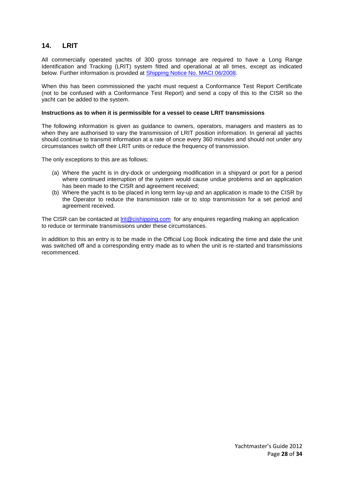## **14. LRIT**

All commercially operated yachts of 300 gross tonnage are required to have a Long Range Identification and Tracking (LRIT) system fitted and operational at all times, except as indicated below. Further information is provided at [Shipping Notice No. MACI 06/2008.](http://www.cishipping.com/pls/portal/docs/PAGE/SRGHOME/SURVEY/SHIPPINGNOTICES/2008/NOTICE062008/NOTICE062008.PDF)

When this has been commissioned the yacht must request a Conformance Test Report Certificate (not to be confused with a Conformance Test Report) and send a copy of this to the CISR so the yacht can be added to the system.

#### **Instructions as to when it is permissible for a vessel to cease LRIT transmissions**

The following information is given as guidance to owners, operators, managers and masters as to when they are authorised to vary the transmission of LRIT position information. In general all yachts should continue to transmit information at a rate of once every 360 minutes and should not under any circumstances switch off their LRIT units or reduce the frequency of transmission.

The only exceptions to this are as follows:

- (a) Where the yacht is in dry-dock or undergoing modification in a shipyard or port for a period where continued interruption of the system would cause undue problems and an application has been made to the CISR and agreement received;
- (b) Where the yacht is to be placed in long term lay-up and an application is made to the CISR by the Operator to reduce the transmission rate or to stop transmission for a set period and agreement received.

The CISR can be contacted at [lrit@cishipping.com](mailto:lrit@cishipping.com) for any enquires regarding making an application to reduce or terminate transmissions under these circumstances.

In addition to this an entry is to be made in the Official Log Book indicating the time and date the unit was switched off and a corresponding entry made as to when the unit is re-started and transmissions recommenced.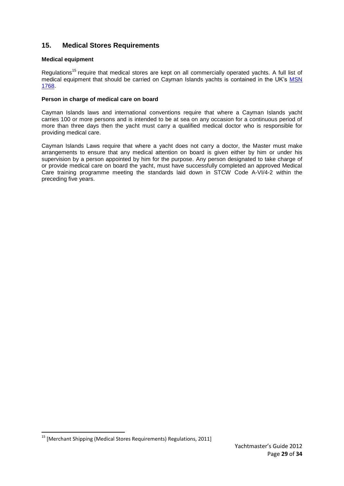## **15. Medical Stores Requirements**

#### **Medical equipment**

Regulations<sup>15</sup> require that medical stores are kept on all commercially operated yachts. A full list of medical equipment that should be carried on Cayman Islands yachts is contained in the UK's [MSN](http://www.mcga.gov.uk/c4mca/1768.pdf)  [1768.](http://www.mcga.gov.uk/c4mca/1768.pdf)

#### **Person in charge of medical care on board**

Cayman Islands laws and international conventions require that where a Cayman Islands yacht carries 100 or more persons and is intended to be at sea on any occasion for a continuous period of more than three days then the yacht must carry a qualified medical doctor who is responsible for providing medical care.

Cayman Islands Laws require that where a yacht does not carry a doctor, the Master must make arrangements to ensure that any medical attention on board is given either by him or under his supervision by a person appointed by him for the purpose. Any person designated to take charge of or provide medical care on board the yacht, must have successfully completed an approved Medical Care training programme meeting the standards laid down in STCW Code A-VI/4-2 within the preceding five years.

1

 $<sup>15</sup>$  [Merchant Shipping (Medical Stores Requirements) Regulations, 2011]</sup>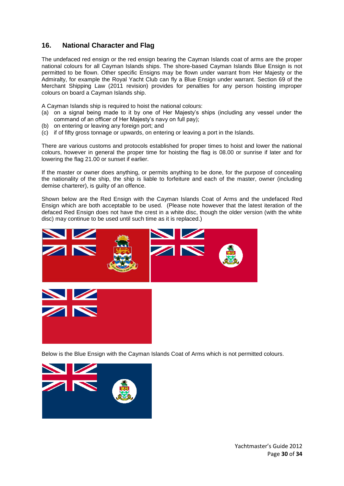## **16. National Character and Flag**

The undefaced red ensign or the red ensign bearing the Cayman Islands coat of arms are the proper national colours for all Cayman Islands ships. The shore-based Cayman Islands Blue Ensign is not permitted to be flown. Other specific Ensigns may be flown under warrant from Her Majesty or the Admiralty, for example the Royal Yacht Club can fly a Blue Ensign under warrant. Section 69 of the Merchant Shipping Law (2011 revision) provides for penalties for any person hoisting improper colours on board a Cayman Islands ship.

A Cayman Islands ship is required to hoist the national colours:

- (a) on a signal being made to it by one of Her Majesty's ships (including any vessel under the command of an officer of Her Majesty's navy on full pay);
- (b) on entering or leaving any foreign port; and
- (c) if of fifty gross tonnage or upwards, on entering or leaving a port in the Islands.

There are various customs and protocols established for proper times to hoist and lower the national colours, however in general the proper time for hoisting the flag is 08.00 or sunrise if later and for lowering the flag 21.00 or sunset if earlier.

If the master or owner does anything, or permits anything to be done, for the purpose of concealing the nationality of the ship, the ship is liable to forfeiture and each of the master, owner (including demise charterer), is guilty of an offence.

Shown below are the Red Ensign with the Cayman Islands Coat of Arms and the undefaced Red Ensign which are both acceptable to be used. (Please note however that the latest iteration of the defaced Red Ensign does not have the crest in a white disc, though the older version (with the white disc) may continue to be used until such time as it is replaced.)



Below is the Blue Ensign with the Cayman Islands Coat of Arms which is not permitted colours.



Yachtmaster's Guide 2012 Page **30** of **34**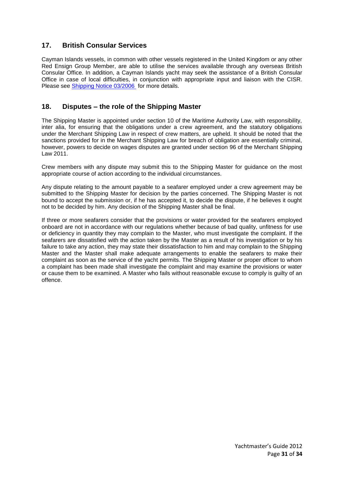## **17. British Consular Services**

Cayman Islands vessels, in common with other vessels registered in the United Kingdom or any other Red Ensign Group Member, are able to utilise the services available through any overseas British Consular Office. In addition, a Cayman Islands yacht may seek the assistance of a British Consular Office in case of local difficulties, in conjunction with appropriate input and liaison with the CISR. Please see [Shipping Notice 03/2006](http://www.cishipping.com/pls/portal/docs/PAGE/SRGHOME/SURVEY/SHIPPINGNOTICES/2006/NOTICE032006/NOTICE200603.PDF) for more details.

## **18. Disputes – the role of the Shipping Master**

The Shipping Master is appointed under section 10 of the Maritime Authority Law, with responsibility, inter alia, for ensuring that the obligations under a crew agreement, and the statutory obligations under the Merchant Shipping Law in respect of crew matters, are upheld. It should be noted that the sanctions provided for in the Merchant Shipping Law for breach of obligation are essentially criminal, however, powers to decide on wages disputes are granted under section 96 of the Merchant Shipping Law 2011.

Crew members with any dispute may submit this to the Shipping Master for guidance on the most appropriate course of action according to the individual circumstances.

Any dispute relating to the amount payable to a seafarer employed under a crew agreement may be submitted to the Shipping Master for decision by the parties concerned. The Shipping Master is not bound to accept the submission or, if he has accepted it, to decide the dispute, if he believes it ought not to be decided by him. Any decision of the Shipping Master shall be final.

If three or more seafarers consider that the provisions or water provided for the seafarers employed onboard are not in accordance with our regulations whether because of bad quality, unfitness for use or deficiency in quantity they may complain to the Master, who must investigate the complaint. If the seafarers are dissatisfied with the action taken by the Master as a result of his investigation or by his failure to take any action, they may state their dissatisfaction to him and may complain to the Shipping Master and the Master shall make adequate arrangements to enable the seafarers to make their complaint as soon as the service of the yacht permits. The Shipping Master or proper officer to whom a complaint has been made shall investigate the complaint and may examine the provisions or water or cause them to be examined. A Master who fails without reasonable excuse to comply is guilty of an offence.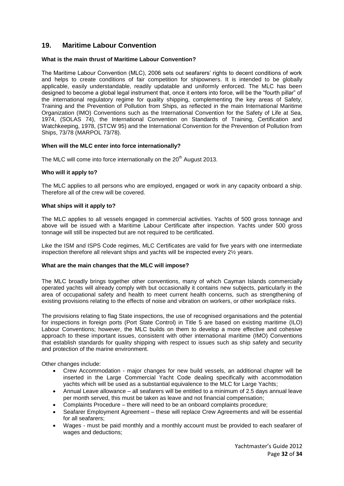## **19. Maritime Labour Convention**

#### **What is the main thrust of Maritime Labour Convention?**

The Maritime Labour Convention (MLC), 2006 sets out seafarers' rights to decent conditions of work and helps to create conditions of fair competition for shipowners. It is intended to be globally applicable, easily understandable, readily updatable and uniformly enforced. The MLC has been designed to become a global legal instrument that, once it enters into force, will be the "fourth pillar" of the international regulatory regime for quality shipping, complementing the key areas of Safety, Training and the Prevention of Pollution from Ships, as reflected in the main International Maritime Organization (IMO) Conventions such as the International Convention for the Safety of Life at Sea, 1974, (SOLAS 74), the International Convention on Standards of Training, Certification and Watchkeeping, 1978, (STCW 95) and the International Convention for the Prevention of Pollution from Ships, 73/78 (MARPOL 73/78).

#### **When will the MLC enter into force internationally?**

The MLC will come into force internationally on the  $20<sup>th</sup>$  August 2013.

#### **Who will it apply to?**

The MLC applies to all persons who are employed, engaged or work in any capacity onboard a ship. Therefore all of the crew will be covered.

#### **What ships will it apply to?**

The MLC applies to all vessels engaged in commercial activities. Yachts of 500 gross tonnage and above will be issued with a Maritime Labour Certificate after inspection. Yachts under 500 gross tonnage will still be inspected but are not required to be certificated.

Like the ISM and ISPS Code regimes, MLC Certificates are valid for five years with one intermediate inspection therefore all relevant ships and yachts will be inspected every 2½ years.

#### **What are the main changes that the MLC will impose?**

The MLC broadly brings together other conventions, many of which Cayman Islands commercially operated yachts will already comply with but occasionally it contains new subjects, particularly in the area of occupational safety and health to meet current health concerns, such as strengthening of existing provisions relating to the effects of noise and vibration on workers, or other workplace risks.

The provisions relating to flag State inspections, the use of recognised organisations and the potential for inspections in foreign ports (Port State Control) in Title 5 are based on existing maritime (ILO) Labour Conventions; however, the MLC builds on them to develop a more effective and cohesive approach to these important issues, consistent with other international maritime (IMO) Conventions that establish standards for quality shipping with respect to issues such as ship safety and security and protection of the marine environment.

Other changes include:

- Crew Accommodation major changes for new build vessels, an additional chapter will be inserted in the Large Commercial Yacht Code dealing specifically with accommodation yachts which will be used as a substantial equivalence to the MLC for Large Yachts;
- Annual Leave allowance all seafarers will be entitled to a minimum of 2.5 days annual leave per month served, this must be taken as leave and not financial compensation;
- Complaints Procedure there will need to be an onboard complaints procedure;
- Seafarer Employment Agreement these will replace Crew Agreements and will be essential for all seafarers;
- Wages must be paid monthly and a monthly account must be provided to each seafarer of wages and deductions;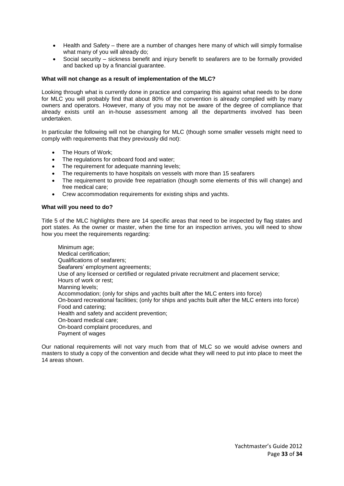- Health and Safety there are a number of changes here many of which will simply formalise what many of you will already do;
- Social security sickness benefit and injury benefit to seafarers are to be formally provided and backed up by a financial guarantee.

#### **What will not change as a result of implementation of the MLC?**

Looking through what is currently done in practice and comparing this against what needs to be done for MLC you will probably find that about 80% of the convention is already complied with by many owners and operators. However, many of you may not be aware of the degree of compliance that already exists until an in-house assessment among all the departments involved has been undertaken.

In particular the following will not be changing for MLC (though some smaller vessels might need to comply with requirements that they previously did not):

- The Hours of Work:
- The regulations for onboard food and water;
- The requirement for adequate manning levels;
- The requirements to have hospitals on vessels with more than 15 seafarers
- The requirement to provide free repatriation (though some elements of this will change) and free medical care;
- Crew accommodation requirements for existing ships and yachts.

#### **What will you need to do?**

Title 5 of the MLC highlights there are 14 specific areas that need to be inspected by flag states and port states. As the owner or master, when the time for an inspection arrives, you will need to show how you meet the requirements regarding:

Minimum age; Medical certification; Qualifications of seafarers; Seafarers' employment agreements; Use of any licensed or certified or regulated private recruitment and placement service; Hours of work or rest; Manning levels; Accommodation; (only for ships and yachts built after the MLC enters into force) On-board recreational facilities; (only for ships and yachts built after the MLC enters into force) Food and catering; Health and safety and accident prevention; On-board medical care; On-board complaint procedures, and Payment of wages

Our national requirements will not vary much from that of MLC so we would advise owners and masters to study a copy of the convention and decide what they will need to put into place to meet the 14 areas shown.